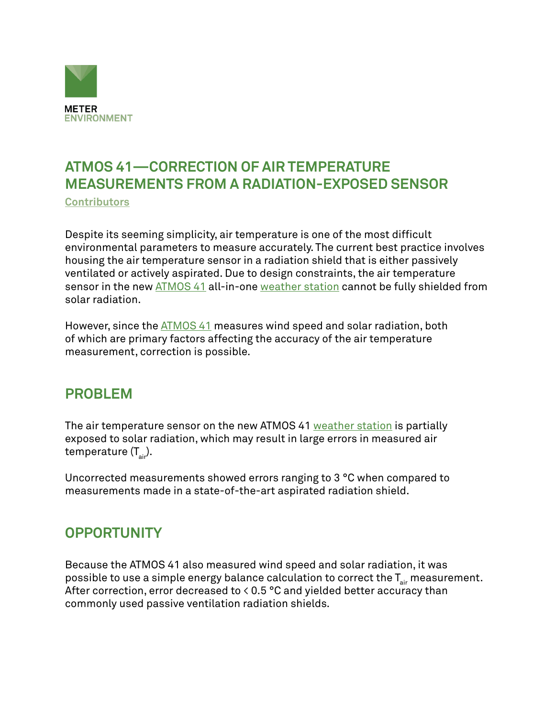

# **ATMOS 41—CORRECTION OF AIR TEMPERATURE MEASUREMENTS FROM A RADIATION-EXPOSED SENSOR**

**[Contributors](https://www.metergroup.com/meter_knowledgebase/about-us-meter-environment/)**

Despite its seeming simplicity, air temperature is one of the most difficult environmental parameters to measure accurately. The current best practice involves housing the air temperature sensor in a radiation shield that is either passively ventilated or actively aspirated. Due to design constraints, the air temperature sensor in the new [ATMOS 41](https://www.metergroup.com/en/meter-environment/products/atmos-41-weather-station) all-in-one [weather station](https://www.metergroup.com/meter_knowledgebase/weather-sensor-comparison-scientific-weather-station-performance-data-2/) cannot be fully shielded from solar radiation.

However, since the [ATMOS 41](https://www.metergroup.com/en/meter-environment/products/atmos-41-weather-station) measures wind speed and solar radiation, both of which are primary factors affecting the accuracy of the air temperature measurement, correction is possible.

#### **PROBLEM**

The air temperature sensor on the new ATMOS 41 [weather station](https://www.metergroup.com/meter_knowledgebase/weather-sensor-comparison-scientific-weather-station-performance-data-2/) is partially exposed to solar radiation, which may result in large errors in measured air temperature  $(T_{air})$ .

Uncorrected measurements showed errors ranging to 3 °C when compared to measurements made in a state-of-the-art aspirated radiation shield.

## **OPPORTUNITY**

Because the ATMOS 41 also measured wind speed and solar radiation, it was possible to use a simple energy balance calculation to correct the  $T_{air}$  measurement. After correction, error decreased to  $\leq 0.5$  °C and yielded better accuracy than commonly used passive ventilation radiation shields.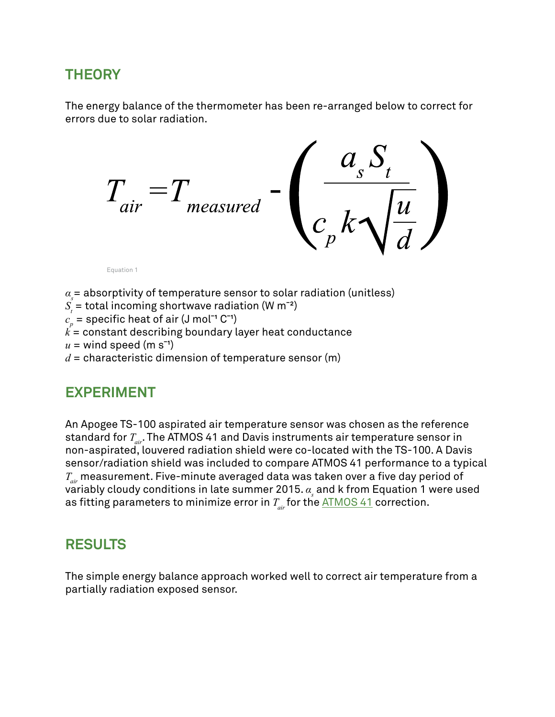#### **THEORY**

The energy balance of the thermometer has been re-arranged below to correct for errors due to solar radiation.

$$
T_{air} = T_{measured} - \left(\frac{a_s S_t}{c_p k \sqrt{\frac{u}{d}}}\right)
$$

Equation 1

 $\alpha_{\scriptscriptstyle s}^{}$ = absorptivity of temperature sensor to solar radiation (unitless)

 $S_{t}$  = total incoming shortwave radiation (W m<sup>-2</sup>)

 $c_{\scriptscriptstyle \#}$  = specific heat of air (J mol<sup>-1</sup> C<sup>-1</sup>)

*p k* = constant describing boundary layer heat conductance

 $u =$  wind speed (m s<sup>-1</sup>)

 $d$  = characteristic dimension of temperature sensor (m)

#### **EXPERIMENT**

An Apogee TS-100 aspirated air temperature sensor was chosen as the reference standard for *Tair*. The ATMOS 41 and Davis instruments air temperature sensor in non-aspirated, louvered radiation shield were co-located with the TS-100. A Davis sensor/radiation shield was included to compare ATMOS 41 performance to a typical *Tair* measurement. Five-minute averaged data was taken over a five day period of variably cloudy conditions in late summer 2015.  $\alpha_{\text{\tiny S}}$  and k from Equation 1 were used as fitting parameters to minimize error in  $T_{air}$  for the [ATMOS 41](https://www.metergroup.com/en/meter-environment/products/atmos-41-weather-station) correction.

## **RESULTS**

The simple energy balance approach worked well to correct air temperature from a partially radiation exposed sensor.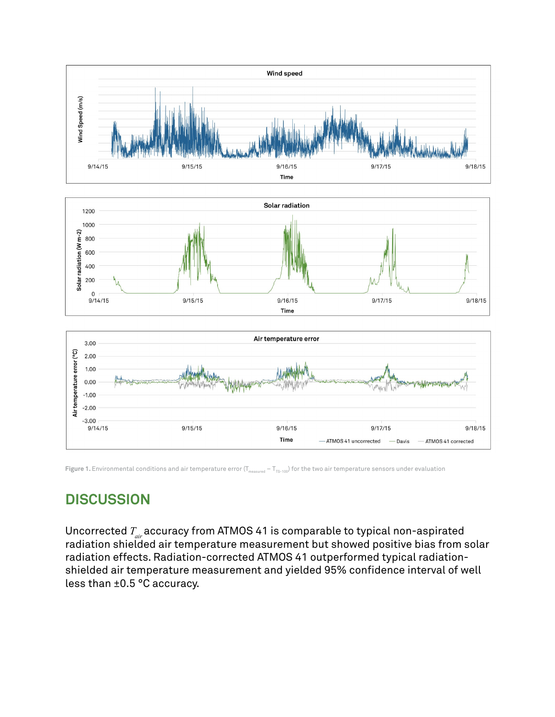





**Figure 1.** Environmental conditions and air temperature error ( $T_{measured} - T_{Ts-100}$ ) for the two air temperature sensors under evaluation

## **DISCUSSION**

Uncorrected  $T_{_{air}}$ accuracy from ATMOS 41 is comparable to typical non-aspirated radiation shielded air temperature measurement but showed positive bias from solar radiation effects. Radiation-corrected ATMOS 41 outperformed typical radiationshielded air temperature measurement and yielded 95% confidence interval of well less than ±0.5 °C accuracy.